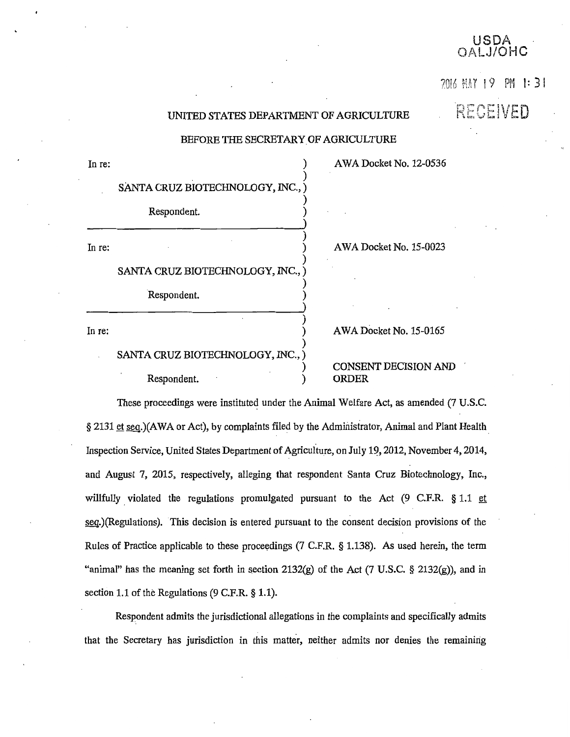## USDA 'OHC

70! 6 MAY I 9 PM l: 3 I

RECEIVED

## UNITED STATES DEPARTMENT OF AGRICULTURE

### BEFORE THE SECRETARY OF AGRICULTURE

)

)

)

)

)

)

)

)

A WA Docket No. 12-0536

AWA Docket No. 15-0023

SANTA CRUZ BIOTECHNOLOGY, INC.

In re:  $\qquad \qquad$  )

Respondent. )

In re:  $\qquad \qquad$  )

SANTA CRUZ BIOTECHNOLOGY, INC.,)

Respondent. )

In re:  $\qquad \qquad$  )

# SANTA CRUZ BIOTECHNOLOGY, INC.,)

Respondent.

## AWA Docket No. 15-0165

## CONSENT DECISION AND ORDER

These proceedings were instituted under the Animal Welfare Act, as amended (7 U.S.C. § 2131 et seq.)(AWA or Act), by complaints filed by the Administrator, Animal and Plant Health Inspection Service, United States Department of Agriculture, on July 19, 2012, November 4, 2014, and August 7, 2015, respectively, alleging that respondent Santa Cruz Biotechnology, Inc., willfully violated the regulations promulgated pursuant to the Act (9 C.F.R.  $§ 1.1$  et seq.)(Regulations). This decision is entered pursuant to the consent decision provisions of the Rules of Practice applicable to these proceedings (7 C.F.R.  $\S 1.138$ ). As used herein, the term "animal" has the meaning set forth in section 2132(g) of the Act (7 U.S.C. § 2132(g)), and in section 1.1 of the Regulations (9 C.F.R. § 1.1).

Respondent admits the jurisdictional allegations in the complaints and specifically admits that the Secretary has jurisdiction in this matter, neither admits nor denies the remaining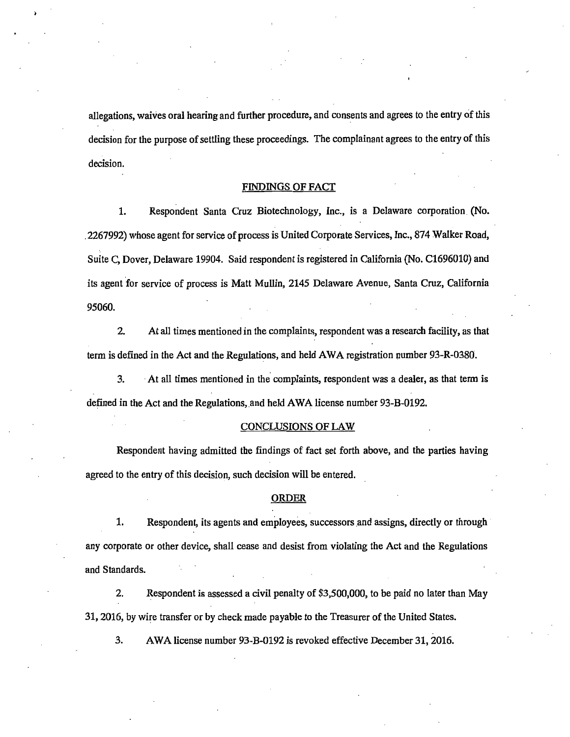allegations, waives oral hearing and further procedure, and consents and agrees to the entry of this decision for the purpose of settling these proceedings. The complainant agrees to the entry of this decision.

#### FINDINGS OF FACT

1. Respondent Santa Cruz Biotechnology, Inc., is a Delaware corporation (No . . 2267992) whose agent for service of process is United Corporate Services, Inc., 874 Walker Road, Suite C, Dover, Delaware 19904. Said respondent is registered in California (No. C1696010) and its agent for service of process is Matt Mullin, 2145 Delaware Avenue, Santa Cruz, California 95060.

2. At all times mentioned in the complaints, respondent was a research facility, as that term is defined in the Act and the Regulations, and held AW A registration number 93-R-0380.

3. At all times mentioned in the complaints, respondent was a dealer, as that term is defined in the Act and the Regulations, and held AWA license number 93-B-0192.

### CONCLUSIONS OF LAW

Respondent having admitted the findings of fact set forth above, and the parties having agreed to the entry of this decision, such decision will be entered.

#### ORDER

1. Respondent, its agents and employees, successors and assigns, directly or through any corporate or other device, shall cease and desist from violating the Act and the Regulations and Standards.

2. Respondent is assessed a civil penalty of \$3,500,000, to be paid no later than May 31, 2016, by Wire transfer or by check made payable to the Treasurer of the United States.

3. AWA license number 93-B-0192 is revoked effective December 31, 2016.